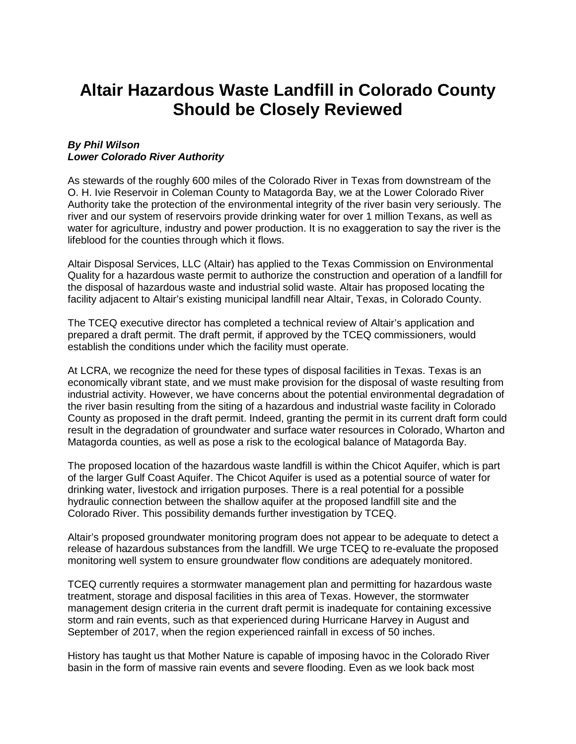## **Altair Hazardous Waste Landfill in Colorado County Should be Closely Reviewed**

## *By Phil Wilson Lower Colorado River Authority*

As stewards of the roughly 600 miles of the Colorado River in Texas from downstream of the O. H. Ivie Reservoir in Coleman County to Matagorda Bay, we at the Lower Colorado River Authority take the protection of the environmental integrity of the river basin very seriously. The river and our system of reservoirs provide drinking water for over 1 million Texans, as well as water for agriculture, industry and power production. It is no exaggeration to say the river is the lifeblood for the counties through which it flows.

Altair Disposal Services, LLC (Altair) has applied to the Texas Commission on Environmental Quality for a hazardous waste permit to authorize the construction and operation of a landfill for the disposal of hazardous waste and industrial solid waste. Altair has proposed locating the facility adjacent to Altair's existing municipal landfill near Altair, Texas, in Colorado County.

The TCEQ executive director has completed a technical review of Altair's application and prepared a draft permit. The draft permit, if approved by the TCEQ commissioners, would establish the conditions under which the facility must operate.

At LCRA, we recognize the need for these types of disposal facilities in Texas. Texas is an economically vibrant state, and we must make provision for the disposal of waste resulting from industrial activity. However, we have concerns about the potential environmental degradation of the river basin resulting from the siting of a hazardous and industrial waste facility in Colorado County as proposed in the draft permit. Indeed, granting the permit in its current draft form could result in the degradation of groundwater and surface water resources in Colorado, Wharton and Matagorda counties, as well as pose a risk to the ecological balance of Matagorda Bay.

The proposed location of the hazardous waste landfill is within the Chicot Aquifer, which is part of the larger Gulf Coast Aquifer. The Chicot Aquifer is used as a potential source of water for drinking water, livestock and irrigation purposes. There is a real potential for a possible hydraulic connection between the shallow aquifer at the proposed landfill site and the Colorado River. This possibility demands further investigation by TCEQ.

Altair's proposed groundwater monitoring program does not appear to be adequate to detect a release of hazardous substances from the landfill. We urge TCEQ to re-evaluate the proposed monitoring well system to ensure groundwater flow conditions are adequately monitored.

TCEQ currently requires a stormwater management plan and permitting for hazardous waste treatment, storage and disposal facilities in this area of Texas. However, the stormwater management design criteria in the current draft permit is inadequate for containing excessive storm and rain events, such as that experienced during Hurricane Harvey in August and September of 2017, when the region experienced rainfall in excess of 50 inches.

History has taught us that Mother Nature is capable of imposing havoc in the Colorado River basin in the form of massive rain events and severe flooding. Even as we look back most